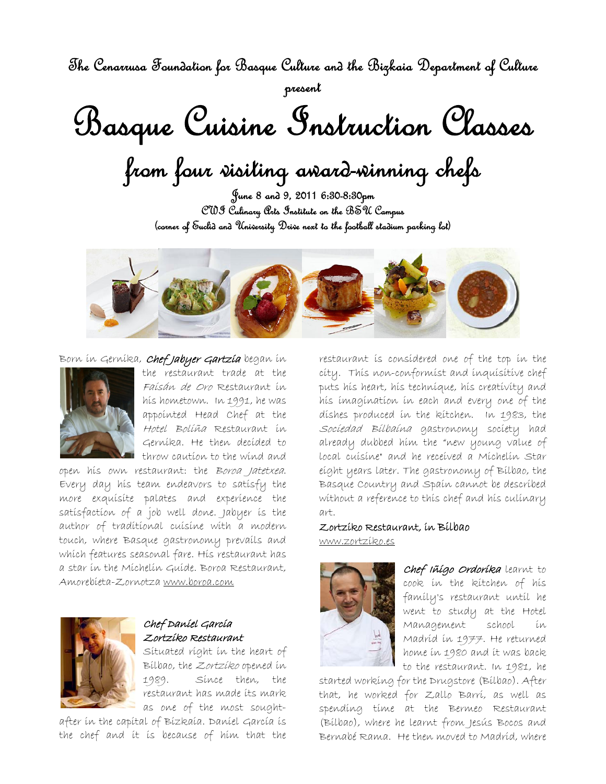The Cenarrusa Foundation for Basque Culture and the Bizkaia Department of Culture present

Basque Cuisine Instruction Classes

from four visiting award-winning chefs

June 8 and 9, 2011 6:30-8:30pm CWI Culinary Arts Institute on the BSU Campus (corner of Euclid and University Drive next to the football stadium parking lot)



## Born in Gernika, Chef Jabyer Gartzía began in



the restaurant trade at the Faisán de Oro Restaurant in his hometown. In 1991, he was appointed Head Chef at the Hotel Boliña Restaurant in Gernika. He then decided to throw caution to the wind and

open his own restaurant: the Boroa Jatetxea. Every day his team endeavors to satisfy the more exquisite palates and experience the satisfaction of a job well done. Jabyer is the author of traditional cuisine with a modern touch, where Basque gastronomy prevails and which features seasonal fare. His restaurant has a star in the Michelin Guide. Boroa Restaurant, Amorebieta-Zornotza www.boroa.com



## Chef Daniel Garcia Zortziko Restaurant

Situated right in the heart of Bilbao, the Zortziko opened in 1989. Since then, the restaurant has made its mark as one of the most sought-

after in the capital of Bizkaia. Daniel García is the chef and it is because of him that the

restaurant is considered one of the top in the city. This non-conformist and inquisitive chef puts his heart, his technique, his creativity and his imagination in each and every one of the dishes produced in the kitchen. In 1983, the Sociedad Bilbaína gastronomy society had already dubbed him the "new young value of local cuisine" and he received a Michelin Star eight years later. The gastronomy of Bilbao, the Basque Country and Spain cannot be described without a reference to this chef and his culinary art.

## Zortziko Restaurant, in Bilbao www.zortziko.es



Chef Iñigo Ordorika learnt to cook in the kitchen of his family's restaurant until he went to study at the Hotel Management school in Madrid in 1977. He returned home in 1980 and it was back to the restaurant. In 1981, he

started working for the Drugstore (Bilbao). After that, he worked for Zallo Barri, as well as spending time at the Bermeo Restaurant (Bilbao), where he learnt from Jesús Bocos and Bernabé Rama. He then moved to Madrid, where